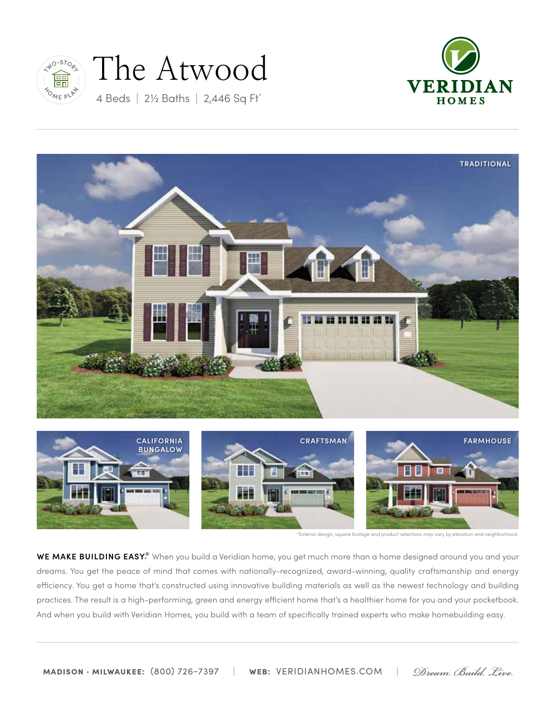

# The Atwood









\*Exterior design, square footage and product selections may vary by elevation and neighborhood.

**WE MAKE BUILDING EASY.®** When you build a Veridian home, you get much more than a home designed around you and your dreams. You get the peace of mind that comes with nationally-recognized, award-winning, quality craftsmanship and energy efficiency. You get a home that's constructed using innovative building materials as well as the newest technology and building practices. The result is a high-performing, green and energy efficient home that's a healthier home for you and your pocketbook. And when you build with Veridian Homes, you build with a team of specifically trained experts who make homebuilding easy.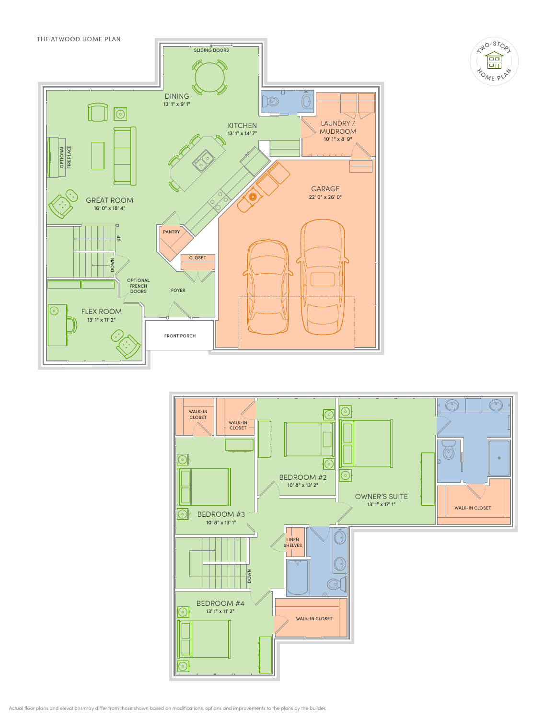







Actual floor plans and elevations may differ from those shown based on modifications, options and improvements to the plans by the builder.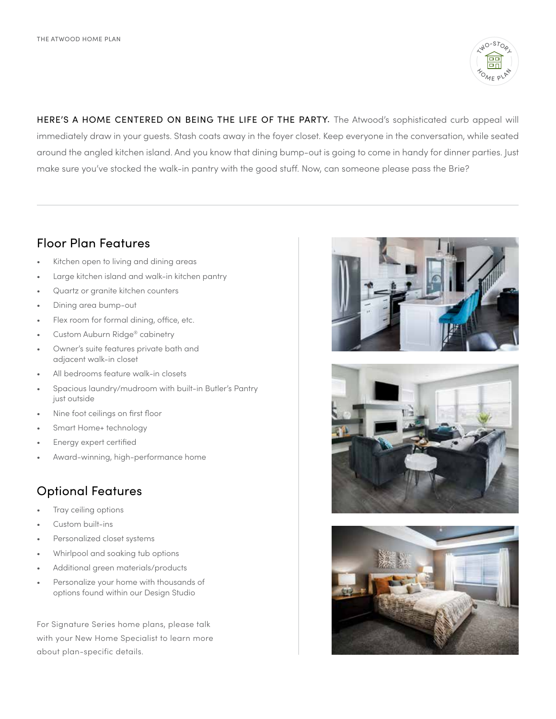

HERE'S A HOME CENTERED ON BEING THE LIFE OF THE PARTY. The Atwood's sophisticated curb appeal will immediately draw in your guests. Stash coats away in the foyer closet. Keep everyone in the conversation, while seated around the angled kitchen island. And you know that dining bump-out is going to come in handy for dinner parties. Just make sure you've stocked the walk-in pantry with the good stuff. Now, can someone please pass the Brie?

## Floor Plan Features

- Kitchen open to living and dining areas
- Large kitchen island and walk-in kitchen pantry
- Quartz or granite kitchen counters
- Dining area bump-out
- Flex room for formal dining, office, etc.
- Custom Auburn Ridge® cabinetry
- Owner's suite features private bath and adjacent walk-in closet
- All bedrooms feature walk-in closets
- Spacious laundry/mudroom with built-in Butler's Pantry just outside
- Nine foot ceilings on first floor
- Smart Home+ technology
- Energy expert certified
- Award-winning, high-performance home

## Optional Features

- Tray ceiling options
- Custom built-ins
- Personalized closet systems
- Whirlpool and soaking tub options
- Additional green materials/products
- Personalize your home with thousands of options found within our Design Studio

For Signature Series home plans, please talk with your New Home Specialist to learn more about plan-specific details.